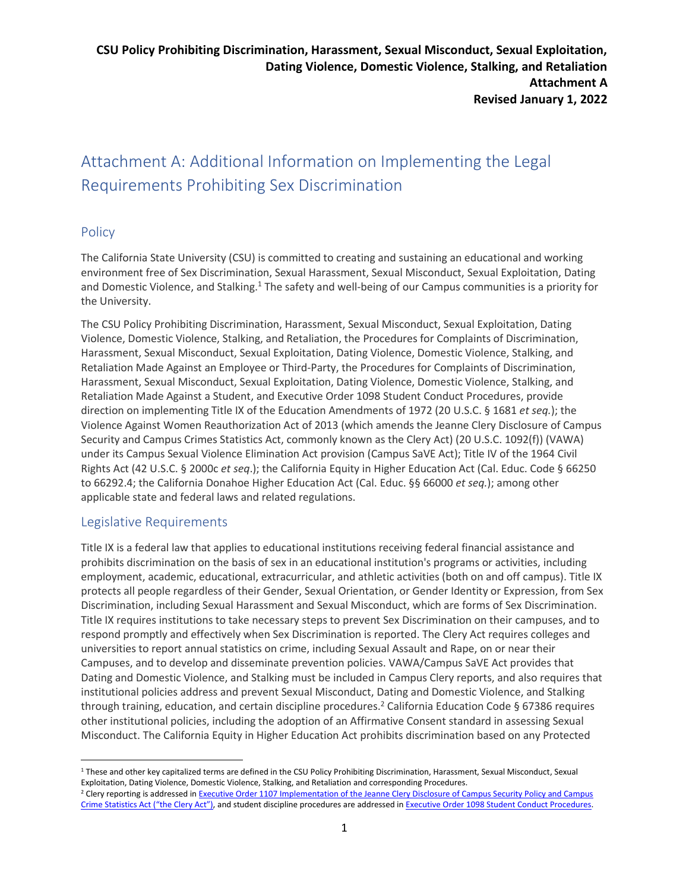# Attachment A: Additional Information on Implementing the Legal Requirements Prohibiting Sex Discrimination

# **Policy**

The California State University (CSU) is committed to creating and sustaining an educational and working environment free of Sex Discrimination, Sexual Harassment, Sexual Misconduct, Sexual Exploitation, Dating and Domestic Violence, and Stalking.<sup>1</sup> The safety and well-being of our Campus communities is a priority for the University.

The CSU Policy Prohibiting Discrimination, Harassment, Sexual Misconduct, Sexual Exploitation, Dating Violence, Domestic Violence, Stalking, and Retaliation, the Procedures for Complaints of Discrimination, Harassment, Sexual Misconduct, Sexual Exploitation, Dating Violence, Domestic Violence, Stalking, and Retaliation Made Against an Employee or Third-Party, the Procedures for Complaints of Discrimination, Harassment, Sexual Misconduct, Sexual Exploitation, Dating Violence, Domestic Violence, Stalking, and Retaliation Made Against a Student, and Executive Order 1098 Student Conduct Procedures, provide direction on implementing Title IX of the Education Amendments of 1972 (20 U.S.C. § 1681 *et seq.*); the Violence Against Women Reauthorization Act of 2013 (which amends the Jeanne Clery Disclosure of Campus Security and Campus Crimes Statistics Act, commonly known as the Clery Act) (20 U.S.C. 1092(f)) (VAWA) under its Campus Sexual Violence Elimination Act provision (Campus SaVE Act); Title IV of the 1964 Civil Rights Act (42 U.S.C. § 2000c *et seq*.); the California Equity in Higher Education Act (Cal. Educ. Code § 66250 to 66292.4; the California Donahoe Higher Education Act (Cal. Educ. §§ 66000 *et seq.*); among other applicable state and federal laws and related regulations.

# Legislative Requirements

Title IX is a federal law that applies to educational institutions receiving federal financial assistance and prohibits discrimination on the basis of sex in an educational institution's programs or activities, including employment, academic, educational, extracurricular, and athletic activities (both on and off campus). Title IX protects all people regardless of their Gender, Sexual Orientation, or Gender Identity or Expression, from Sex Discrimination, including Sexual Harassment and Sexual Misconduct, which are forms of Sex Discrimination. Title IX requires institutions to take necessary steps to prevent Sex Discrimination on their campuses, and to respond promptly and effectively when Sex Discrimination is reported. The Clery Act requires colleges and universities to report annual statistics on crime, including Sexual Assault and Rape, on or near their Campuses, and to develop and disseminate prevention policies. VAWA/Campus SaVE Act provides that Dating and Domestic Violence, and Stalking must be included in Campus Clery reports, and also requires that institutional policies address and prevent Sexual Misconduct, Dating and Domestic Violence, and Stalking through training, education, and certain discipline procedures.<sup>2</sup> California Education Code § 67386 requires other institutional policies, including the adoption of an Affirmative Consent standard in assessing Sexual Misconduct. The California Equity in Higher Education Act prohibits discrimination based on any Protected

<sup>&</sup>lt;sup>1</sup> These and other key capitalized terms are defined in the CSU Policy Prohibiting Discrimination, Harassment, Sexual Misconduct, Sexual Exploitation, Dating Violence, Domestic Violence, Stalking, and Retaliation and corresponding Procedures.

<sup>&</sup>lt;sup>2</sup> Clery reporting is addressed in Executive Order 1107 Implementation of the Jeanne Clery Disclosure of Campus Security Policy and Campus Crime Statistics Act ("the Clery Act"), and student discipline procedures are addressed in Executive Order 1098 Student Conduct Procedures.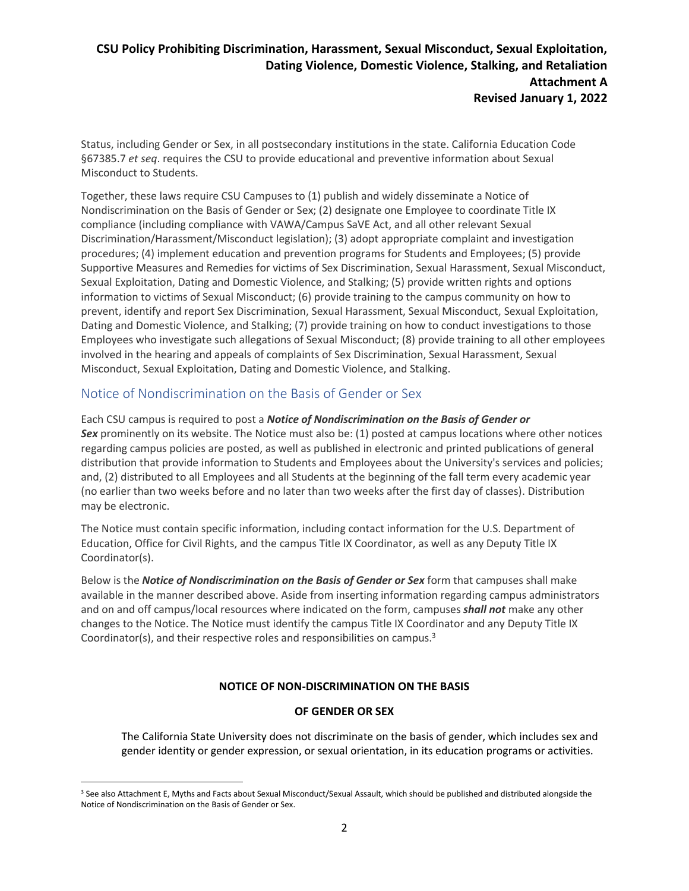# **CSU Policy Prohibiting Discrimination, Harassment, Sexual Misconduct, Sexual Exploitation, Dating Violence, Domestic Violence, Stalking, and Retaliation Attachment A Revised January 1, 2022**

Status, including Gender or Sex, in all postsecondary institutions in the state. California Education Code §67385.7 *et seq*. requires the CSU to provide educational and preventive information about Sexual Misconduct to Students.

Together, these laws require CSU Campuses to (1) publish and widely disseminate a Notice of Nondiscrimination on the Basis of Gender or Sex; (2) designate one Employee to coordinate Title IX compliance (including compliance with VAWA/Campus SaVE Act, and all other relevant Sexual Discrimination/Harassment/Misconduct legislation); (3) adopt appropriate complaint and investigation procedures; (4) implement education and prevention programs for Students and Employees; (5) provide Supportive Measures and Remedies for victims of Sex Discrimination, Sexual Harassment, Sexual Misconduct, Sexual Exploitation, Dating and Domestic Violence, and Stalking; (5) provide written rights and options information to victims of Sexual Misconduct; (6) provide training to the campus community on how to prevent, identify and report Sex Discrimination, Sexual Harassment, Sexual Misconduct, Sexual Exploitation, Dating and Domestic Violence, and Stalking; (7) provide training on how to conduct investigations to those Employees who investigate such allegations of Sexual Misconduct; (8) provide training to all other employees involved in the hearing and appeals of complaints of Sex Discrimination, Sexual Harassment, Sexual Misconduct, Sexual Exploitation, Dating and Domestic Violence, and Stalking.

### Notice of Nondiscrimination on the Basis of Gender or Sex

Each CSU campus is required to post a *Notice of Nondiscrimination on the Basis of Gender or*  **Sex** prominently on its website. The Notice must also be: (1) posted at campus locations where other notices regarding campus policies are posted, as well as published in electronic and printed publications of general distribution that provide information to Students and Employees about the University's services and policies; and, (2) distributed to all Employees and all Students at the beginning of the fall term every academic year (no earlier than two weeks before and no later than two weeks after the first day of classes). Distribution may be electronic.

The Notice must contain specific information, including contact information for the U.S. Department of Education, Office for Civil Rights, and the campus Title IX Coordinator, as well as any Deputy Title IX Coordinator(s).

Below is the *Notice of Nondiscrimination on the Basis of Gender or Sex* form that campuses shall make available in the manner described above. Aside from inserting information regarding campus administrators and on and off campus/local resources where indicated on the form, campuses *shall not* make any other changes to the Notice. The Notice must identify the campus Title IX Coordinator and any Deputy Title IX Coordinator(s), and their respective roles and responsibilities on campus.<sup>3</sup>

#### **NOTICE OF NON-DISCRIMINATION ON THE BASIS**

#### **OF GENDER OR SEX**

The California State University does not discriminate on the basis of gender, which includes sex and gender identity or gender expression, or sexual orientation, in its education programs or activities.

<sup>&</sup>lt;sup>3</sup> See also Attachment E, Myths and Facts about Sexual Misconduct/Sexual Assault, which should be published and distributed alongside the Notice of Nondiscrimination on the Basis of Gender or Sex.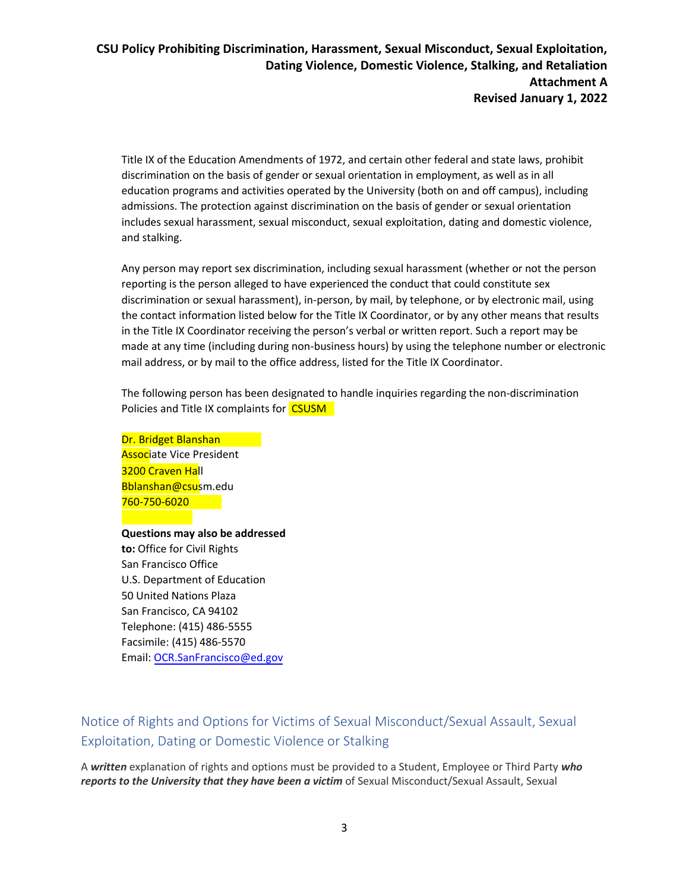Title IX of the Education Amendments of 1972, and certain other federal and state laws, prohibit discrimination on the basis of gender or sexual orientation in employment, as well as in all education programs and activities operated by the University (both on and off campus), including admissions. The protection against discrimination on the basis of gender or sexual orientation includes sexual harassment, sexual misconduct, sexual exploitation, dating and domestic violence, and stalking.

Any person may report sex discrimination, including sexual harassment (whether or not the person reporting is the person alleged to have experienced the conduct that could constitute sex discrimination or sexual harassment), in-person, by mail, by telephone, or by electronic mail, using the contact information listed below for the Title IX Coordinator, or by any other means that results in the Title IX Coordinator receiving the person's verbal or written report. Such a report may be made at any time (including during non-business hours) by using the telephone number or electronic mail address, or by mail to the office address, listed for the Title IX Coordinator.

The following person has been designated to handle inquiries regarding the non-discrimination Policies and Title IX complaints for CSUSM

Dr. Bridget Blanshan **Associate Vice President** 3200 Craven Hall Bblanshan@csusm.edu 760-750-6020

**Questions may also be addressed to:** Office for Civil Rights San Francisco Office U.S. Department of Education 50 United Nations Plaza San Francisco, CA 94102 Telephone: (415) 486-5555 Facsimile: (415) 486-5570 Email: OCR.SanFrancisco@ed.gov

Notice of Rights and Options for Victims of Sexual Misconduct/Sexual Assault, Sexual Exploitation, Dating or Domestic Violence or Stalking

A *written* explanation of rights and options must be provided to a Student, Employee or Third Party *who reports to the University that they have been a victim* of Sexual Misconduct/Sexual Assault, Sexual